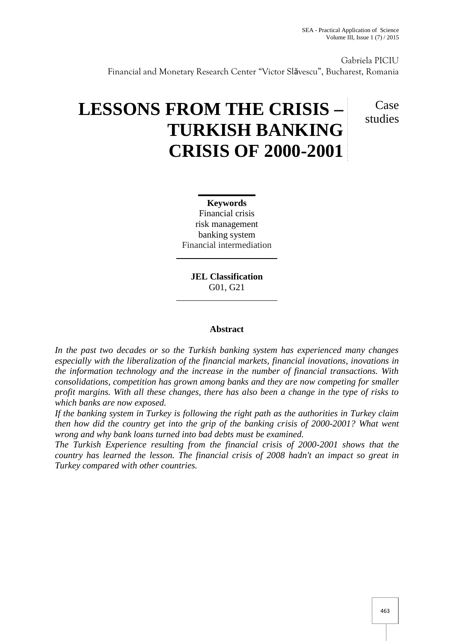Gabriela PICIU Financial and Monetary Research Center "Victor Slăvescu", Bucharest, Romania

# **LESSONS FROM THE CRISIS – TURKISH BANKING CRISIS OF 2000-2001**

Case studies

**Keywords** Financial crisis risk management banking system Financial intermediation

**JEL Classification** G01, G21

# **Abstract**

*In the past two decades or so the Turkish banking system has experienced many changes especially with the liberalization of the financial markets, financial inovations, inovations in the information technology and the increase in the number of financial transactions. With consolidations, competition has grown among banks and they are now competing for smaller profit margins. With all these changes, there has also been a change in the type of risks to which banks are now exposed.*

*If the banking system in Turkey is following the right path as the authorities in Turkey claim then how did the country get into the grip of the banking crisis of 2000-2001? What went wrong and why bank loans turned into bad debts must be examined.*

*The Turkish Experience resulting from the financial crisis of 2000-2001 shows that the country has learned the lesson. The financial crisis of 2008 hadn't an impact so great in Turkey compared with other countries.*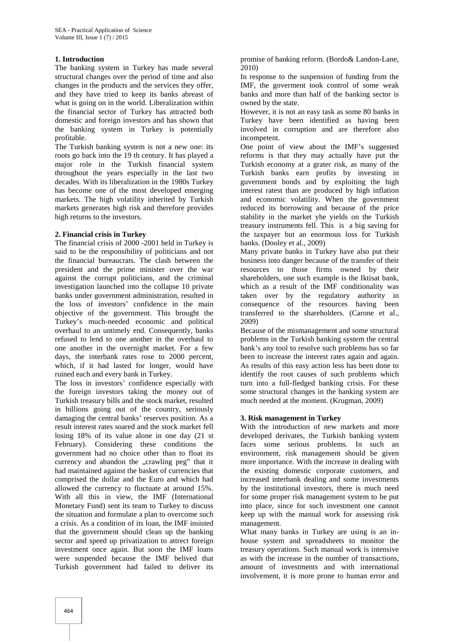### **1. Introduction**

The banking system in Turkey has made several structural changes over the period of time and also changes in the products and the services they offer, and they have tried to keep its banks abreast of what is going on in the world. Liberalization within the financial sector of Turkey has attracted both domestic and foreign investors and has shown that the banking system in Turkey is potentially profitable.

The Turkish banking system is not a new one: its roots go back into the 19 th century. It has played a major role in the Turkish financial system throughout the years especially in the last two decades. With its liberalization in the 1980s Turkey has become one of the most developed emerging markets. The high volatility inherited by Turkish markets generates high risk and therefore provides high returns to the investors.

## **2. Financial crisis in Turkey**

The financial crisis of 2000 -2001 held in Turkey is said to be the responsibility of politicians and not the financial bureaucrats. The clash between the president and the prime minister over the war against the corrupt politicians, and the criminal investigation launched into the collapse 10 private banks under government administration, resulted in the loss of investors' confidence in the main objective of the government. This brought the Turkey's much-needed economic and political overhaul to an untimely end. Consequently, banks refused to lend to one another in the overhaul to one another in the overnight market. For a few days, the interbank rates rose to 2000 percent, which, if it had lasted for longer, would have ruined each and every bank in Turkey.

The loss in investors' confidence especially with the foreign investors taking the money out of Turkish treasury bills and the stock market, resulted in billions going out of the country, seriously damaging the central banks' reserves position. As a result interest rates soared and the stock market fell losing 18% of its value alone in one day (21 st February). Considering these conditions the government had no choice other than to float its currency and abandon the "crawling peg" that it had maintained against the basket of currencies that comprised the dollar and the Euro and which had allowed the currency to fluctuate at around 15%. With all this in view, the IMF (International Monetary Fund) sent its team to Turkey to discuss the situation and formulate a plan to overcome such a crisis. As a condition of its loan, the IMF insisted that the government should clean up the banking sector and speed up privatization to attrect foreign investment once again. But soon the IMF loans were suspended because the IMF belived that Turkish government had failed to deliver its

promise of banking reform. (Bordo& Landon-Lane, 2010)

In response to the suspension of funding from the IMF, the goverment took control of some weak banks and more than half of the banking sector is owned by the state.

However, it is not an easy task as some 80 banks in Turkey have been identified as having been involved in corruption and are therefore also incompetent.

One point of view about the IMF's suggested reforms is that they may actually have put the Turkish economy at a grater risk, as many of the Turkish banks earn profits by investing in guvernment bonds and by exploiting the high interest ratest than are produced by high inflation and economic volatility. When the government reduced its borrowing and because of the price stability in the market yhe yields on the Turkish treasury instruments fell. This is a big saving for the taxpayer but an enormous loss for Turkish banks. (Dooley et al., 2009)

Many private banks in Turkey have also put their business into danger because of the transfer of their resources to those firms owned by their shareholders, one such example is the Iktisat bank, which as a result of the IMF conditionality was taken over by the regulatory authority in consequence of the resources having been transferred to the shareholders. (Carone et al., 2009)

Because of the mismanagement and some structural problems in the Turkish banking system the central bank's any tool to resolve such problems has so far been to increase the interest rates again and again. As results of this easy action less has been done to identify the root causes of such problems which turn into a full-fledged banking crisis. For these some structural changes in the banking system are much needed at the moment. (Krugman, 2009)

### **3. Risk management in Turkey**

With the introduction of new markets and more developed derivates, the Turkish banking system faces some serious problems. In such an environment, risk management should be given more importance. With the increase in dealing with the existing domestic corporate customers, and increased interbank dealing and some investments by the institutional investors, there is much need for some proper risk management system to be put into place, since for such investment one cannot keep up with the manual work for assessing risk management.

What many banks in Turkey are using is an in house system and spreadsheets to monitor the treasury operations. Such manual work is intensive as with the increase in the number of transactions, amount of investments and with international involvement, it is more prone to human error and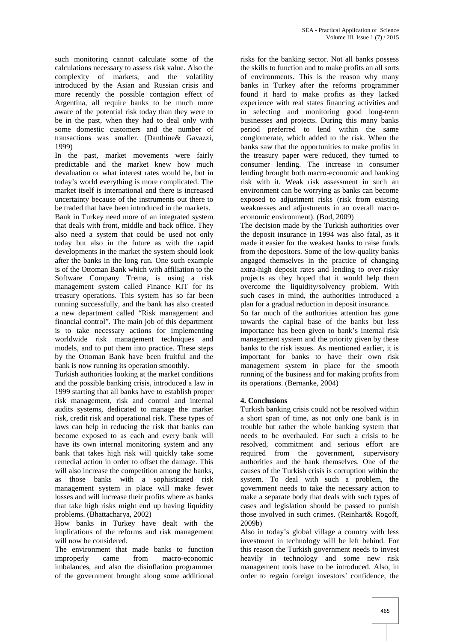such monitoring cannot calculate some of the calculations necessary to assess risk value. Also the complexity of markets, and the volatility introduced by the Asian and Russian crisis and more recently the possible contagion effect of Argentina, all require banks to be much more aware of the potential risk today than they were to be in the past, when they had to deal only with some domestic customers and the number of transactions was smaller. (Danthine& Gavazzi, 1999)

In the past, market movements were fairly predictable and the market knew how much devaluation or what interest rates would be, but in today's world everything is more complicated. The market itself is international and there is increased uncertainty because of the instruments out there to be traded that have been introduced in the markets.

Bank in Turkey need more of an integrated system that deals with front, middle and back office. They also need a system that could be used not only today but also in the future as with the rapid developments in the market the system should look after the banks in the long run. One such example is of the Ottoman Bank which with affiliation to the Software Company Trema, is using a risk management system called Finance KIT for its treasury operations. This system has so far been running successfully, and the bank has also created a new department called "Risk management and financial control". The main job of this department is to take necessary actions for implementing worldwide risk management techniques and models, and to put them into practice. These steps by the Ottoman Bank have been fruitful and the bank is now running its operation smoothly.

Turkish authorities looking at the market conditions and the possible banking crisis, introduced a law in 1999 starting that all banks have to establish proper risk management, risk and control and internal audits systems, dedicated to manage the market risk, credit risk and operational risk. These types of laws can help in reducing the risk that banks can become exposed to as each and every bank will have its own internal monitoring system and any bank that takes high risk will quickly take some remedial action in order to offset the damage. This will also increase the competition among the banks, as those banks with a sophisticated risk management system in place will make fewer losses and will increase their profits where as banks that take high risks might end up having liquidity problems. (Bhattacharya, 2002)

How banks in Turkey have dealt with the implications of the reforms and risk management will now be considered.

The environment that made banks to function improperly came from macro-economic imbalances, and also the disinflation programmer of the government brought along some additional

risks for the banking sector. Not all banks possess the skills to function and to make profits an all sorts of environments. This is the reason why many banks in Turkey after the reforms programmer found it hard to make profits as they lacked experience with real states financing activities and in selecting and monitoring good long-term businesses and projects. During this many banks period preferred to lend within the same conglomerate, which added to the risk. When the banks saw that the opportunities to make profits in the treasury paper were reduced, they turned to consumer lending. The increase in consumer lending brought both macro-economic and banking risk with it. Weak risk assessment in such an environment can be worrying as banks can become exposed to adjustment risks (risk from existing weaknesses and adjustments in an overall macro economic environment). (Bod, 2009)

The decision made by the Turkish authorities over the deposit insurance in 1994 was also fatal, as it made it easier for the weakest banks to raise funds from the depositors. Some of the low-quality banks angaged themselves in the practice of changing axtra-high deposit rates and lending to over-risky projects as they hoped that it would help them overcome the liquidity/solvency problem. With such cases in mind, the authorities introduced a plan for a gradual reduction in deposit insurance.

So far much of the authorities attention has gone towards the capital base of the banks but less importance has been given to bank's internal risk management system and the priority given by these banks to the risk issues. As mentioned earlier, it is important for banks to have their own risk management system in place for the smooth running of the business and for making profits from its operations. (Bernanke, 2004)

# **4. Conclusions**

Turkish banking crisis could not be resolved within a short span of time, as not only one bank is in trouble but rather the whole banking system that needs to be overhauled. For such a crisis to be resolved, commitment and serious effort are required from the government, supervisory authorities and the bank themselves. One of the causes of the Turkish crisis is corruption within the system. To deal with such a problem, the government needs to take the necessary action to make a separate body that deals with such types of cases and legislation should be passed to punish those involved in such crimes. (Reinhart& Rogoff, 2009b)

Also in today's global village a country with less investment in technology will be left behind. For this reason the Turkish government needs to invest heavily in technology and some new risk management tools have to be introduced. Also, in order to regain foreign investors' confidence, the